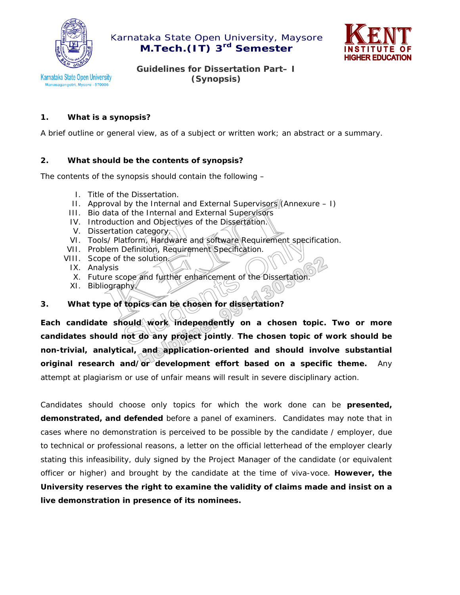



**Karnataka State Open University** Manasagangotri, Mysore - 570006

**Guidelines for Dissertation Part– I (Synopsis)** 

## **1. What is a synopsis?**

A brief outline or general view, as of a subject or written work; an abstract or a summary.

## **2. What should be the contents of synopsis?**

The contents of the synopsis should contain the following –

- I. Title of the Dissertation.
- II. Approval by the Internal and External Supervisors  $(Annexure I)$
- III. Bio data of the Internal and External Supervisors
- IV. Introduction and Objectives of the Dissertation.
- V. Dissertation category.
- VI. Tools/ Platform, Hardware and software Requirement specification.
- VII. Problem Definition, Requirement Specification.
- VIII. Scope of the solution
	- IX. Analysis
	- X. Future scope and further enhancement of the Dissertation.
	- XI. Bibliography

# **3. What type of topics can be chosen for dissertation?**

Each candidate should work independently on a chosen topic. Two or more **candidates should not do any project jointly**. **The chosen topic of work should be non-trivial, analytical, and application-oriented and should involve substantial original research and/or development effort based on a specific theme.** Any attempt at plagiarism or use of unfair means will result in severe disciplinary action.

Candidates should choose only topics for which the work done can be **presented, demonstrated, and defended** before a panel of examiners. Candidates may note that in cases where no demonstration is perceived to be possible by the candidate / employer, due to technical or professional reasons, a letter on the official letterhead of the employer clearly stating this infeasibility, duly signed by the Project Manager of the candidate (or equivalent officer or higher) and brought by the candidate at the time of viva-voce. **However, the University reserves the right to examine the validity of claims made and insist on a live demonstration in presence of its nominees.**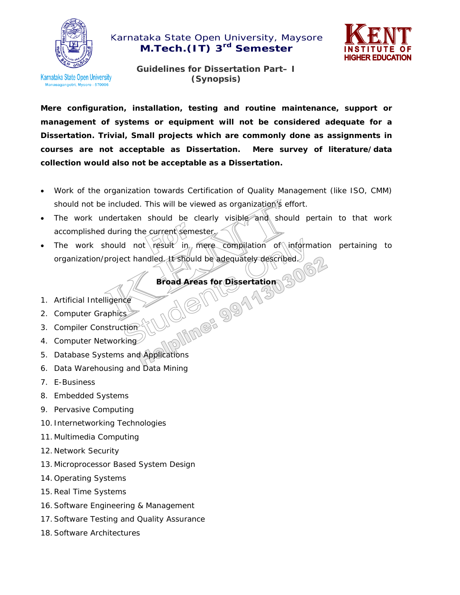



Karnataka State Open University sagangotri, Mysore - 570006

**Guidelines for Dissertation Part– I (Synopsis)** 

**Mere configuration, installation, testing and routine maintenance, support or management of systems or equipment will not be considered adequate for a Dissertation. Trivial, Small projects which are commonly done as assignments in courses are not acceptable as Dissertation. Mere survey of literature/data collection would also not be acceptable as a Dissertation.** 

- Work of the organization towards Certification of Quality Management (like ISO, CMM) should not be included. This will be viewed as organization's effort.
- The work undertaken should be clearly visible and should pertain to that work accomplished during the current semester.
- The work should not result in mere compilation of information pertaining to organization/project handled. It should be adequately described.

**Broad Areas for Dissertation 306** 

- 1. Artificial Intelligence
- 2. Computer Graphics
- 3. Compiler Construction
- 4. Computer Networking
- 5. Database Systems and Applications
- 6. Data Warehousing and Data Mining
- 7. E-Business
- 8. Embedded Systems
- 9. Pervasive Computing
- 10. Internetworking Technologies
- 11. Multimedia Computing
- 12. Network Security
- 13. Microprocessor Based System Design
- 14. Operating Systems
- 15.Real Time Systems
- 16.Software Engineering & Management
- 17.Software Testing and Quality Assurance
- 18.Software Architectures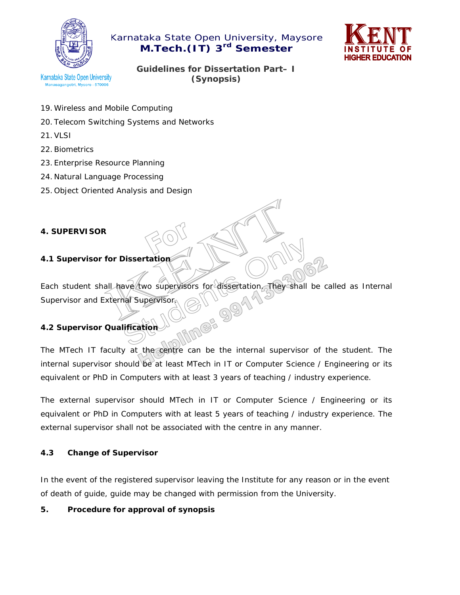



Karnataka State Open University sagangotri, Mysore - 57000

**Guidelines for Dissertation Part– I (Synopsis)** 

- 19.Wireless and Mobile Computing
- 20. Telecom Switching Systems and Networks
- 21.VLSI
- 22.Biometrics
- 23. Enterprise Resource Planning
- 24. Natural Language Processing
- 25. Object Oriented Analysis and Design

## **4. SUPERVISOR**

## **4.1 Supervisor for Dissertation**

Each student shall have two supervisors for dissertation. They shall be called as Internal<br>Supervisor and External Supervisor<br>4.2 Supervisor Qualification Supervisor and External Supervisor.

## **4.2 Supervisor Qualification**

The MTech IT faculty at the centre can be the internal supervisor of the student. The internal supervisor should be at least MTech in IT or Computer Science / Engineering or its equivalent or PhD in Computers with at least 3 years of teaching / industry experience.

The external supervisor should MTech in IT or Computer Science / Engineering or its equivalent or PhD in Computers with at least 5 years of teaching / industry experience. The external supervisor shall not be associated with the centre in any manner.

#### **4.3 Change of Supervisor**

In the event of the registered supervisor leaving the Institute for any reason or in the event of death of guide, guide may be changed with permission from the University.

#### **5. Procedure for approval of synopsis**